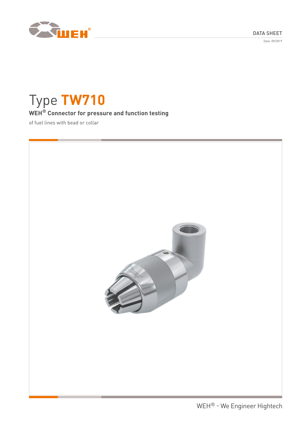DATA SHEET

Date: 09/2019



# Type **TW710 WEH® Connector for pressure and function testing**

of fuel lines with bead or collar

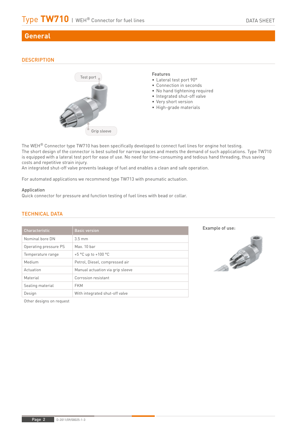# **General**

# **DESCRIPTION**



#### Features

- Lateral test port 90°
- Connection in seconds
- No hand tightening required
- Integrated shut-off valve
- Very short version
- High-grade materials

The WEH® Connector type TW710 has been specifically developed to connect fuel lines for engine hot testing. The short design of the connector is best suited for narrow spaces and meets the demand of such applications. Type TW710 is equipped with a lateral test port for ease of use. No need for time-consuming and tedious hand threading, thus saving costs and repetitive strain injury.

An integrated shut-off valve prevents leakage of fuel and enables a clean and safe operation.

For automated applications we recommend type TW713 with pneumatic actuation.

#### Application

Quick connector for pressure and function testing of fuel lines with bead or collar.

| Characteristic        | <b>Basic version</b>                    |  |
|-----------------------|-----------------------------------------|--|
| Nominal bore DN       | $3.5 \text{ mm}$                        |  |
| Operating pressure PS | Max. 10 bar                             |  |
| Temperature range     | +5 $^{\circ}$ C up to +100 $^{\circ}$ C |  |
| Medium                | Petrol, Diesel, compressed air          |  |
| Actuation             | Manual actuation via grip sleeve        |  |
| Material              | Corrosion resistant                     |  |
| Sealing material      | <b>FKM</b>                              |  |
| Design                | With integrated shut-off valve          |  |

# TECHNICAL DATA





Other designs on request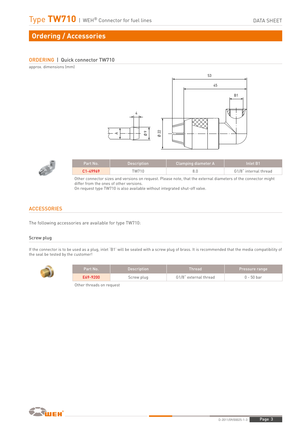# **Ordering / Accessories**

#### ORDERING | Quick connector TW710

approx. dimensions (mm)





| Part No. | <b>Description</b> | Clamping diameter A | Inlet B1              |
|----------|--------------------|---------------------|-----------------------|
| C1-49969 | TW710              |                     | G1/8" internal thread |

Other connector sizes and versions on request. Please note, that the external diameters of the connector might differ from the ones of other versions.

On request type TW710 is also available without integrated shut-off valve.

#### **ACCESSORIES**

The following accessories are available for type TW710:

#### Screw plug

If the connector is to be used as a plug, inlet 'B1' will be sealed with a screw plug of brass. It is recommended that the media compatibility of the seal be tested by the customer!



| Part No. | <b>Description</b> | Thread                | <b>Pressure range</b> |
|----------|--------------------|-----------------------|-----------------------|
| E69-9200 | Screw plug         | G1/8" external thread | $0 - 50$ bar          |

Other threads on request